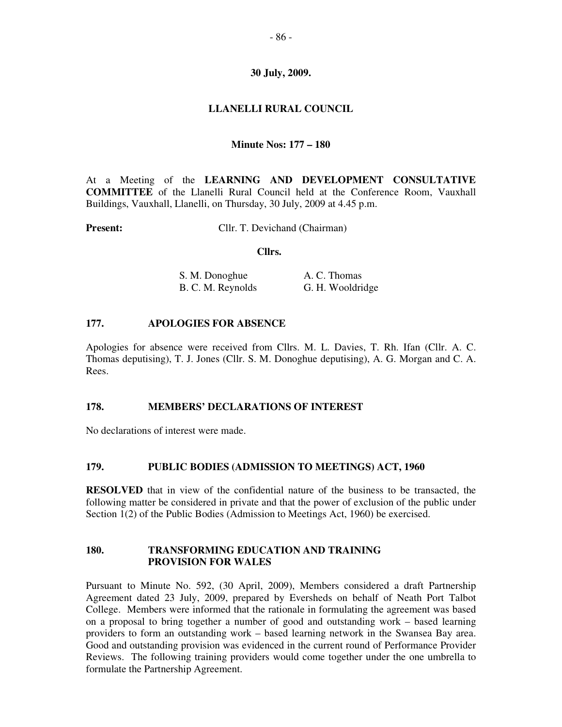# **30 July, 2009.**

# **LLANELLI RURAL COUNCIL**

## **Minute Nos: 177 – 180**

At a Meeting of the **LEARNING AND DEVELOPMENT CONSULTATIVE COMMITTEE** of the Llanelli Rural Council held at the Conference Room, Vauxhall Buildings, Vauxhall, Llanelli, on Thursday, 30 July, 2009 at 4.45 p.m.

**Present:** Cllr. T. Devichand (Chairman)

#### **Cllrs.**

| S. M. Donoghue    | A. C. Thomas     |
|-------------------|------------------|
| B. C. M. Reynolds | G. H. Wooldridge |

### **177. APOLOGIES FOR ABSENCE**

Apologies for absence were received from Cllrs. M. L. Davies, T. Rh. Ifan (Cllr. A. C. Thomas deputising), T. J. Jones (Cllr. S. M. Donoghue deputising), A. G. Morgan and C. A. Rees.

#### **178. MEMBERS' DECLARATIONS OF INTEREST**

No declarations of interest were made.

## **179. PUBLIC BODIES (ADMISSION TO MEETINGS) ACT, 1960**

**RESOLVED** that in view of the confidential nature of the business to be transacted, the following matter be considered in private and that the power of exclusion of the public under Section 1(2) of the Public Bodies (Admission to Meetings Act, 1960) be exercised.

### **180. TRANSFORMING EDUCATION AND TRAINING PROVISION FOR WALES**

Pursuant to Minute No. 592, (30 April, 2009), Members considered a draft Partnership Agreement dated 23 July, 2009, prepared by Eversheds on behalf of Neath Port Talbot College. Members were informed that the rationale in formulating the agreement was based on a proposal to bring together a number of good and outstanding work – based learning providers to form an outstanding work – based learning network in the Swansea Bay area. Good and outstanding provision was evidenced in the current round of Performance Provider Reviews. The following training providers would come together under the one umbrella to formulate the Partnership Agreement.